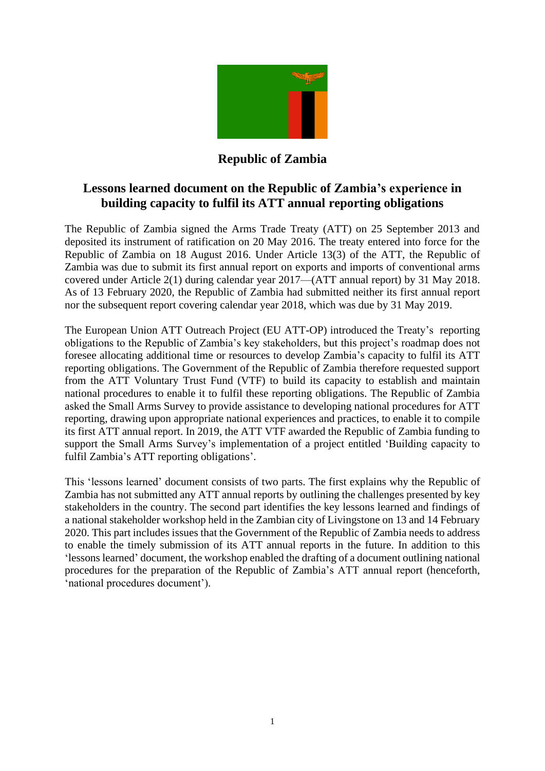

## **Republic of Zambia**

# **Lessons learned document on the Republic of Zambia's experience in building capacity to fulfil its ATT annual reporting obligations**

The Republic of Zambia signed the Arms Trade Treaty (ATT) on 25 September 2013 and deposited its instrument of ratification on 20 May 2016. The treaty entered into force for the Republic of Zambia on 18 August 2016. Under Article 13(3) of the ATT, the Republic of Zambia was due to submit its first annual report on exports and imports of conventional arms covered under Article 2(1) during calendar year 2017—(ATT annual report) by 31 May 2018. As of 13 February 2020, the Republic of Zambia had submitted neither its first annual report nor the subsequent report covering calendar year 2018, which was due by 31 May 2019.

The European Union ATT Outreach Project (EU ATT-OP) introduced the Treaty's reporting obligations to the Republic of Zambia's key stakeholders, but this project's roadmap does not foresee allocating additional time or resources to develop Zambia's capacity to fulfil its ATT reporting obligations. The Government of the Republic of Zambia therefore requested support from the ATT Voluntary Trust Fund (VTF) to build its capacity to establish and maintain national procedures to enable it to fulfil these reporting obligations. The Republic of Zambia asked the Small Arms Survey to provide assistance to developing national procedures for ATT reporting, drawing upon appropriate national experiences and practices, to enable it to compile its first ATT annual report. In 2019, the ATT VTF awarded the Republic of Zambia funding to support the Small Arms Survey's implementation of a project entitled 'Building capacity to fulfil Zambia's ATT reporting obligations'.

This 'lessons learned' document consists of two parts. The first explains why the Republic of Zambia has not submitted any ATT annual reports by outlining the challenges presented by key stakeholders in the country. The second part identifies the key lessons learned and findings of a national stakeholder workshop held in the Zambian city of Livingstone on 13 and 14 February 2020. This part includes issues that the Government of the Republic of Zambia needs to address to enable the timely submission of its ATT annual reports in the future. In addition to this 'lessons learned' document, the workshop enabled the drafting of a document outlining national procedures for the preparation of the Republic of Zambia's ATT annual report (henceforth, 'national procedures document').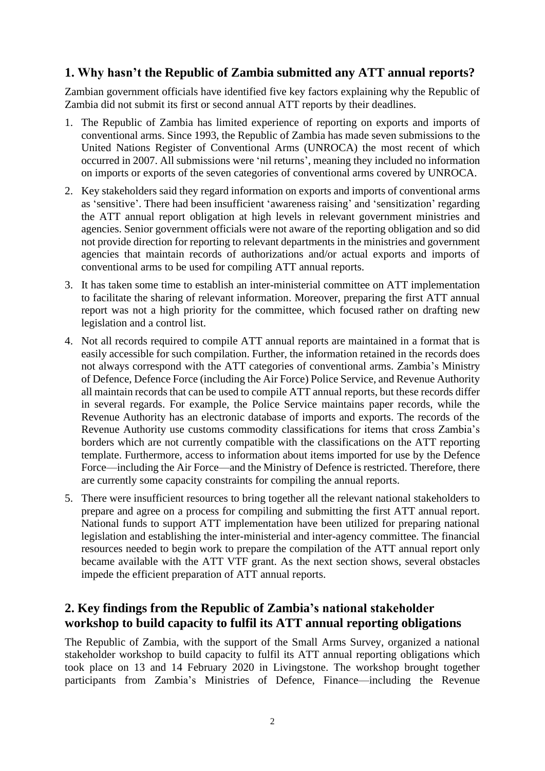### **1. Why hasn't the Republic of Zambia submitted any ATT annual reports?**

Zambian government officials have identified five key factors explaining why the Republic of Zambia did not submit its first or second annual ATT reports by their deadlines.

- 1. The Republic of Zambia has limited experience of reporting on exports and imports of conventional arms. Since 1993, the Republic of Zambia has made seven submissions to the United Nations Register of Conventional Arms (UNROCA) the most recent of which occurred in 2007. All submissions were 'nil returns', meaning they included no information on imports or exports of the seven categories of conventional arms covered by UNROCA.
- 2. Key stakeholders said they regard information on exports and imports of conventional arms as 'sensitive'. There had been insufficient 'awareness raising' and 'sensitization' regarding the ATT annual report obligation at high levels in relevant government ministries and agencies. Senior government officials were not aware of the reporting obligation and so did not provide direction for reporting to relevant departments in the ministries and government agencies that maintain records of authorizations and/or actual exports and imports of conventional arms to be used for compiling ATT annual reports.
- 3. It has taken some time to establish an inter-ministerial committee on ATT implementation to facilitate the sharing of relevant information. Moreover, preparing the first ATT annual report was not a high priority for the committee, which focused rather on drafting new legislation and a control list.
- 4. Not all records required to compile ATT annual reports are maintained in a format that is easily accessible for such compilation. Further, the information retained in the records does not always correspond with the ATT categories of conventional arms. Zambia's Ministry of Defence, Defence Force (including the Air Force) Police Service, and Revenue Authority all maintain records that can be used to compile ATT annual reports, but these records differ in several regards. For example, the Police Service maintains paper records, while the Revenue Authority has an electronic database of imports and exports. The records of the Revenue Authority use customs commodity classifications for items that cross Zambia's borders which are not currently compatible with the classifications on the ATT reporting template. Furthermore, access to information about items imported for use by the Defence Force—including the Air Force—and the Ministry of Defence is restricted. Therefore, there are currently some capacity constraints for compiling the annual reports.
- 5. There were insufficient resources to bring together all the relevant national stakeholders to prepare and agree on a process for compiling and submitting the first ATT annual report. National funds to support ATT implementation have been utilized for preparing national legislation and establishing the inter-ministerial and inter-agency committee. The financial resources needed to begin work to prepare the compilation of the ATT annual report only became available with the ATT VTF grant. As the next section shows, several obstacles impede the efficient preparation of ATT annual reports.

### **2. Key findings from the Republic of Zambia's national stakeholder workshop to build capacity to fulfil its ATT annual reporting obligations**

The Republic of Zambia, with the support of the Small Arms Survey, organized a national stakeholder workshop to build capacity to fulfil its ATT annual reporting obligations which took place on 13 and 14 February 2020 in Livingstone. The workshop brought together participants from Zambia's Ministries of Defence, Finance—including the Revenue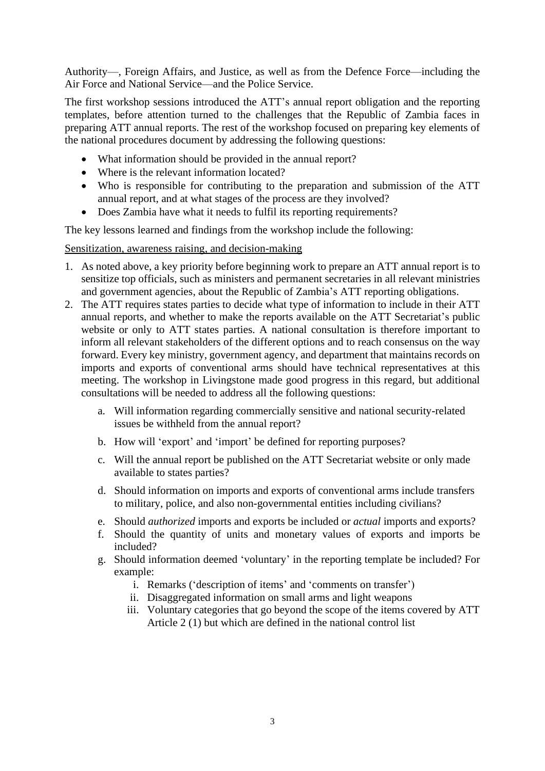Authority—, Foreign Affairs, and Justice, as well as from the Defence Force—including the Air Force and National Service—and the Police Service.

The first workshop sessions introduced the ATT's annual report obligation and the reporting templates, before attention turned to the challenges that the Republic of Zambia faces in preparing ATT annual reports. The rest of the workshop focused on preparing key elements of the national procedures document by addressing the following questions:

- What information should be provided in the annual report?
- Where is the relevant information located?
- Who is responsible for contributing to the preparation and submission of the ATT annual report, and at what stages of the process are they involved?
- Does Zambia have what it needs to fulfil its reporting requirements?

The key lessons learned and findings from the workshop include the following:

#### Sensitization, awareness raising, and decision-making

- 1. As noted above, a key priority before beginning work to prepare an ATT annual report is to sensitize top officials, such as ministers and permanent secretaries in all relevant ministries and government agencies, about the Republic of Zambia's ATT reporting obligations.
- 2. The ATT requires states parties to decide what type of information to include in their ATT annual reports, and whether to make the reports available on the ATT Secretariat's public website or only to ATT states parties. A national consultation is therefore important to inform all relevant stakeholders of the different options and to reach consensus on the way forward. Every key ministry, government agency, and department that maintains records on imports and exports of conventional arms should have technical representatives at this meeting. The workshop in Livingstone made good progress in this regard, but additional consultations will be needed to address all the following questions:
	- a. Will information regarding commercially sensitive and national security-related issues be withheld from the annual report?
	- b. How will 'export' and 'import' be defined for reporting purposes?
	- c. Will the annual report be published on the ATT Secretariat website or only made available to states parties?
	- d. Should information on imports and exports of conventional arms include transfers to military, police, and also non-governmental entities including civilians?
	- e. Should *authorized* imports and exports be included or *actual* imports and exports?
	- f. Should the quantity of units and monetary values of exports and imports be included?
	- g. Should information deemed 'voluntary' in the reporting template be included? For example:
		- i. Remarks ('description of items' and 'comments on transfer')
		- ii. Disaggregated information on small arms and light weapons
		- iii. Voluntary categories that go beyond the scope of the items covered by ATT Article 2 (1) but which are defined in the national control list